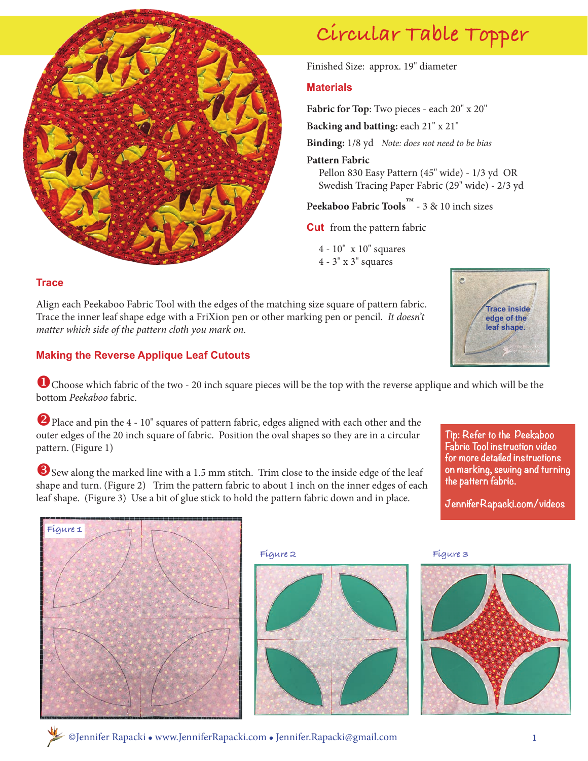

# **Circular Table Topper**

Finished Size: approx. 19" diameter

# **Materials**

**Fabric for Top**: Two pieces - each 20" x 20"

**Backing and batting:** each 21" x 21"

**Binding:** 1/8 yd *Note: does not need to be bias*

#### **Pattern Fabric**

 Pellon 830 Easy Pattern (45" wide) - 1/3 yd OR Swedish Tracing Paper Fabric (29" wide) - 2/3 yd

**Peekaboo Fabric Tools™** - 3 & 10 inch sizes

**Cut** from the pattern fabric

- 4 10" x 10" squares
- 4 3" x 3" squares

#### **Trace**

Align each Peekaboo Fabric Tool with the edges of the matching size square of pattern fabric. Trace the inner leaf shape edge with a FriXion pen or other marking pen or pencil. *It doesn't matter which side of the pattern cloth you mark on.*

## **Making the Reverse Applique Leaf Cutouts**

**U** Choose which fabric of the two - 20 inch square pieces will be the top with the reverse applique and which will be the bottom *Peekaboo* fabric.

Place and pin the 4 - 10" squares of pattern fabric, edges aligned with each other and the outer edges of the 20 inch square of fabric. Position the oval shapes so they are in a circular pattern. (Figure 1)

Sew along the marked line with a 1.5 mm stitch. Trim close to the inside edge of the leaf shape and turn. (Figure 2) Trim the pattern fabric to about 1 inch on the inner edges of each leaf shape. (Figure 3) Use a bit of glue stick to hold the pattern fabric down and in place.



**Tip: Refer to the Peekaboo Fabric Tool instruction video for more detailed instructions on marking, sewing and turning the pattern fabric.** 

**JenniferRapacki.com/videos**









©Jennifer Rapacki l www.JenniferRapacki.com l Jennifer.Rapacki@gmail.com **1**